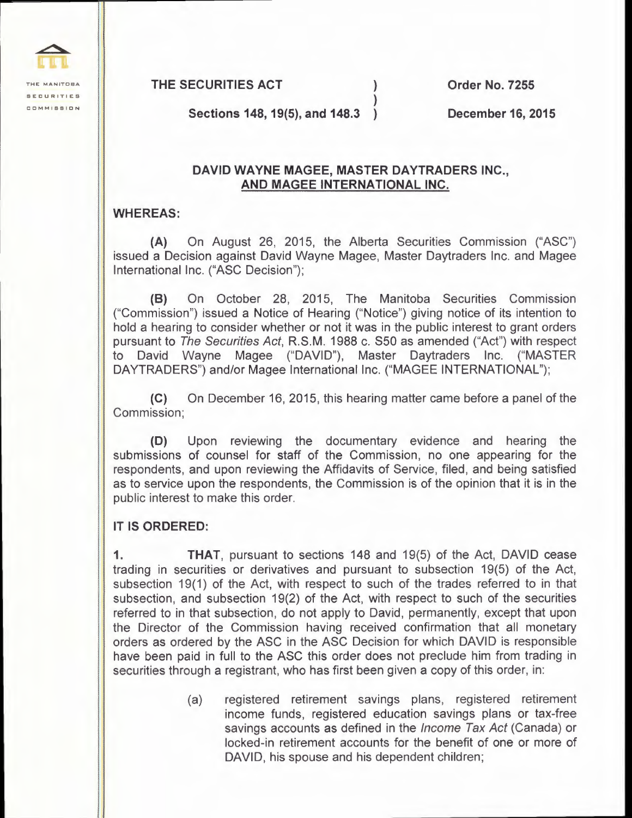**THE MANITOBA SECURITIES COMMISSION** 

**THE SECURITIES ACT** ) **Order No. 7255** 

**Sections 148, 19(5), and 148.3** ) **December 16, 2015** 

## **DAVID WAYNE MAGEE, MASTER DAYTRADERS INC., AND MAGEE INTERNATIONAL INC.**

)

## **WHEREAS:**

**(A)** On August 26, 2015, the Alberta Securities Commission ("ASC") issued a Decision against David Wayne Magee, Master Daytraders Inc. and Magee International Inc. ("ASC Decision");

**(8)** On October 28, 2015, The Manitoba Securities Commission ("Commission") issued a Notice of Hearing ("Notice") giving notice of its intention to hold a hearing to consider whether or not it was in the public interest to grant orders pursuant to The Securities Act, R.S.M. 1988 c. S50 as amended ("Act") with respect to David Wayne Magee ("DAVID"), Master Daytraders Inc. ("MASTER DAYTRADERS") and/or Magee International Inc. ("MAGEE INTERNATIONAL");

**(C)** On December 16, 2015, this hearing matter came before a panel of the Commission;

**(D)** Upon reviewing the documentary evidence and hearing the submissions of counsel for staff of the Commission, no one appearing for the respondents, and upon reviewing the Affidavits of Service, filed, and being satisfied as to service upon the respondents, the Commission is of the opinion that it is in the public interest to make this order.

## **IT IS ORDERED:**

**1. THAT,** pursuant to sections 148 and 19(5) of the Act, DAVID cease trading in securities or derivatives and pursuant to subsection 19(5) of the Act, subsection 19(1) of the Act, with respect to such of the trades referred to in that subsection, and subsection 19(2) of the Act, with respect to such of the securities referred to in that subsection, do not apply to David, permanently, except that upon the Director of the Commission having received confirmation that all monetary orders as ordered by the ASC in the ASC Decision for which DAVID is responsible have been paid in full to the ASC this order does not preclude him from trading in securities through a registrant, who has first been given a copy of this order, in:

> (a) registered retirement savings plans, registered retirement income funds, registered education savings plans or tax-free savings accounts as defined in the Income Tax Act (Canada) or locked-in retirement accounts for the benefit of one or more of DAVID, his spouse and his dependent children;